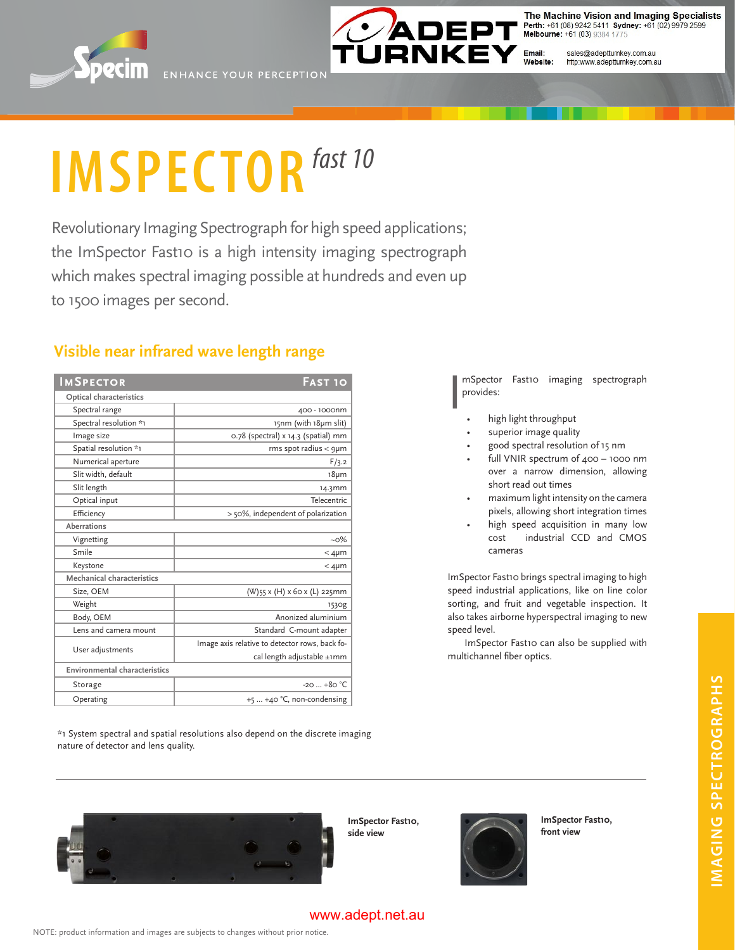



The Machine Vision and Imaging Specialists Perth: +61 (08) 9242 5411 Sydney: +61 (02) 9979 2599<br>Melbourne: +61 (03) 9384 1775

Email:<br>Website: sales@adeptturnkey.com.au http:www.adeptturnkey.com.au

# **IMSPECTOR** fast 10

Revolutionary Imaging Spectrograph for high speed applications; the ImSpector Fast10 is a high intensity imaging spectrograph which makes spectral imaging possible at hundreds and even up to 1500 images per second.

## **Visible near infrared wave length range**

| <b>IMSPECTOR</b>              | <b>FAST 10</b>                                 |
|-------------------------------|------------------------------------------------|
| Optical characteristics       |                                                |
| Spectral range                | 400 - 1000nm                                   |
| Spectral resolution *1        | 15nm (with 18µm slit)                          |
| Image size                    | 0.78 (spectral) x 14.3 (spatial) mm            |
| Spatial resolution *1         | $rms$ spot radius $<$ 9 $µ$ m                  |
| Numerical aperture            | F/3.2                                          |
| Slit width, default           | $18 \mu m$                                     |
| Slit length                   | 14.3mm                                         |
| Optical input                 | <b>Telecentric</b>                             |
| Efficiency                    | > 50%, independent of polarization             |
| Aberrations                   |                                                |
| Vignetting                    | $-0\%$                                         |
| Smile                         | $<$ 4µm                                        |
| Keystone                      | $<$ 4µm                                        |
| Mechanical characteristics    |                                                |
| Size, OEM                     | (W)55 x (H) x 60 x (L) 225mm                   |
| Weight                        | 153 <sub>Og</sub>                              |
| Body, OEM                     | Anonized aluminium                             |
| Lens and camera mount         | Standard C-mount adapter                       |
| User adjustments              | Image axis relative to detector rows, back fo- |
|                               | cal length adjustable ±1mm                     |
| Environmental characteristics |                                                |
| Storage                       | $-20$ $+80$ °C                                 |
| Operating                     | $+5$ $+40$ °C, non-condensing                  |

\*1 System spectral and spatial resolutions also depend on the discrete imaging nature of detector and lens quality.

I mSpector Fast10 imaging spectrograph provides:

- high light throughput •
- superior image quality •
- good spectral resolution of 15 nm •
- full VNIR spectrum of 400 1000 nm over a narrow dimension, allowing short read out times •
- maximum light intensity on the camera pixels, allowing short integration times •
- high speed acquisition in many low cost industrial CCD and CMOS cameras •

ImSpector Fast10 brings spectral imaging to high speed industrial applications, like on line color sorting, and fruit and vegetable inspection. It also takes airborne hyperspectral imaging to new speed level.

ImSpector Fast10 can also be supplied with multichannel fiber optics.

**ImSpector Fast10, side view**



**ImSpector Fast10, front view**

**imaging spectrographs**

**IMAGING SPECTROGRAPHS** 

www.adept.net.au